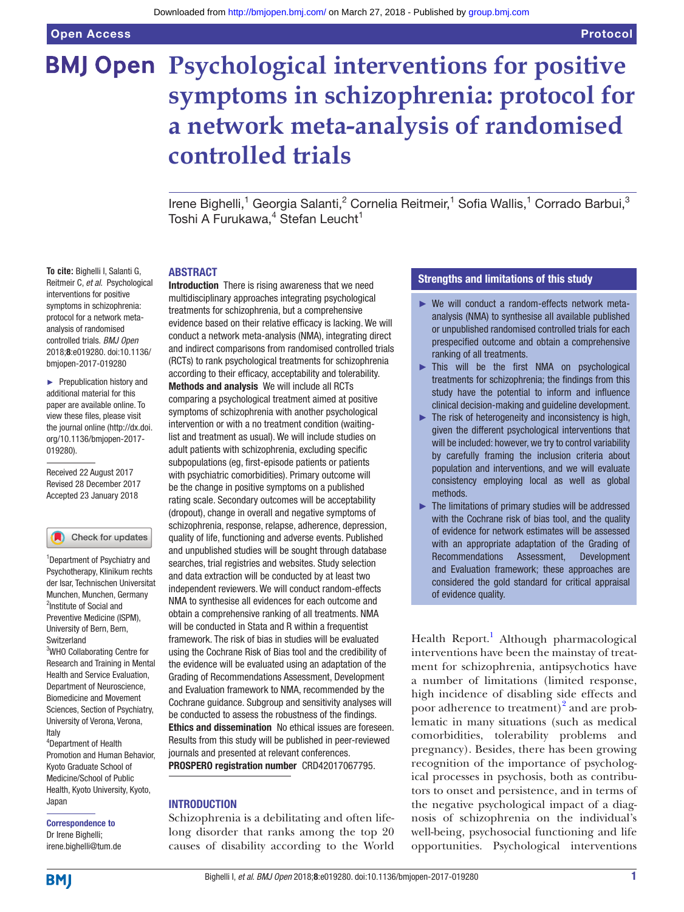# **BMJ Open** Psychological interventions for positive **symptoms in schizophrenia: protocol for a network meta-analysis of randomised controlled trials**

Irene Bighelli,<sup>1</sup> Georgia Salanti,<sup>2</sup> Cornelia Reitmeir,<sup>1</sup> Sofia Wallis,<sup>1</sup> Corrado Barbui,<sup>3</sup> Toshi A Furukawa,<sup>4</sup> Stefan Leucht<sup>1</sup>

#### **ABSTRACT**

**To cite:** Bighelli I, Salanti G, Reitmeir C, *et al*. Psychological interventions for positive symptoms in schizophrenia: protocol for a network metaanalysis of randomised controlled trials. *BMJ Open* 2018;8:e019280. doi:10.1136/ bmjopen-2017-019280

► Prepublication history and additional material for this paper are available online. To view these files, please visit the journal online [\(http://dx.doi.](http://dx.doi.org/10.1136/bmjopen-2017-019280) [org/10.1136/bmjopen-2017-](http://dx.doi.org/10.1136/bmjopen-2017-019280) [019280\)](http://dx.doi.org/10.1136/bmjopen-2017-019280).

Received 22 August 2017 Revised 28 December 2017 Accepted 23 January 2018

Check for updates

<sup>1</sup>Department of Psychiatry and Psychotherapy, Klinikum rechts der Isar, Technischen Universitat Munchen, Munchen, Germany <sup>2</sup>Institute of Social and Preventive Medicine (ISPM), University of Bern, Bern, Switzerland <sup>3</sup>WHO Collaborating Centre for Research and Training in Mental Health and Service Evaluation,

Department of Neuroscience, Biomedicine and Movement Sciences, Section of Psychiatry, University of Verona, Verona, Italy

4 Department of Health Promotion and Human Behavior, Kyoto Graduate School of Medicine/School of Public Health, Kyoto University, Kyoto, Japan

Correspondence to Dr Irene Bighelli; irene.bighelli@tum.de

Introduction There is rising awareness that we need multidisciplinary approaches integrating psychological treatments for schizophrenia, but a comprehensive evidence based on their relative efficacy is lacking. We will conduct a network meta-analysis (NMA), integrating direct and indirect comparisons from randomised controlled trials (RCTs) to rank psychological treatments for schizophrenia according to their efficacy, acceptability and tolerability. Methods and analysis We will include all RCTs comparing a psychological treatment aimed at positive symptoms of schizophrenia with another psychological intervention or with a no treatment condition (waitinglist and treatment as usual). We will include studies on adult patients with schizophrenia, excluding specific subpopulations (eg, first-episode patients or patients with psychiatric comorbidities). Primary outcome will be the change in positive symptoms on a published rating scale. Secondary outcomes will be acceptability (dropout), change in overall and negative symptoms of schizophrenia, response, relapse, adherence, depression, quality of life, functioning and adverse events. Published and unpublished studies will be sought through database searches, trial registries and websites. Study selection and data extraction will be conducted by at least two independent reviewers. We will conduct random-effects NMA to synthesise all evidences for each outcome and obtain a comprehensive ranking of all treatments. NMA will be conducted in Stata and R within a frequentist framework. The risk of bias in studies will be evaluated using the Cochrane Risk of Bias tool and the credibility of the evidence will be evaluated using an adaptation of the Grading of Recommendations Assessment, Development and Evaluation framework to NMA, recommended by the Cochrane guidance. Subgroup and sensitivity analyses will be conducted to assess the robustness of the findings. Ethics and dissemination No ethical issues are foreseen. Results from this study will be published in peer-reviewed journals and presented at relevant conferences. PROSPERO registration number [CRD42017067795.](http://www.crd.york.ac.uk/PROSPERO/display_record.php?ID=CRD42017067795)

#### **INTRODUCTION**

Schizophrenia is a debilitating and often lifelong disorder that ranks among the top 20 causes of disability according to the World

#### Strengths and limitations of this study

- ► We will conduct a random-effects network metaanalysis (NMA) to synthesise all available published or unpublished randomised controlled trials for each prespecified outcome and obtain a comprehensive ranking of all treatments.
- ► This will be the first NMA on psychological treatments for schizophrenia; the findings from this study have the potential to inform and influence clinical decision-making and guideline development.
- ► The risk of heterogeneity and inconsistency is high, given the different psychological interventions that will be included: however, we try to control variability by carefully framing the inclusion criteria about population and interventions, and we will evaluate consistency employing local as well as global methods.
- ► The limitations of primary studies will be addressed with the Cochrane risk of bias tool, and the quality of evidence for network estimates will be assessed with an appropriate adaptation of the Grading of Recommendations Assessment, Development and Evaluation framework; these approaches are considered the gold standard for critical appraisal of evidence quality.

Health Report.<sup>[1](#page-7-0)</sup> Although pharmacological interventions have been the mainstay of treatment for schizophrenia, antipsychotics have a number of limitations (limited response, high incidence of disabling side effects and poor adherence to treatment) $^{2}$  $^{2}$  $^{2}$  and are problematic in many situations (such as medical comorbidities, tolerability problems and pregnancy). Besides, there has been growing recognition of the importance of psychological processes in psychosis, both as contributors to onset and persistence, and in terms of the negative psychological impact of a diagnosis of schizophrenia on the individual's well-being, psychosocial functioning and life opportunities. Psychological interventions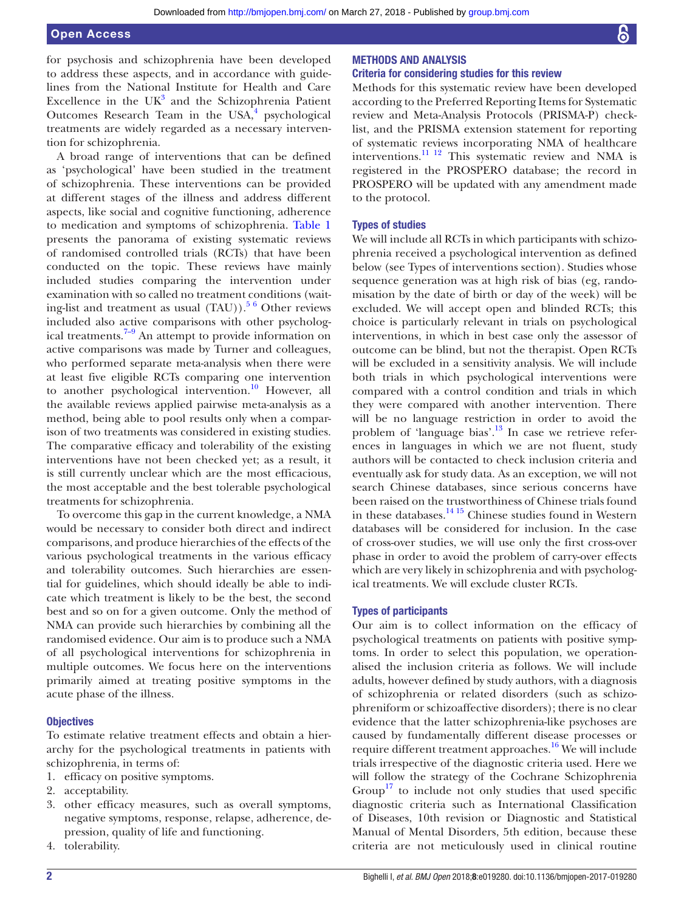for psychosis and schizophrenia have been developed to address these aspects, and in accordance with guidelines from the National Institute for Health and Care Excellence in the  $UK<sup>3</sup>$  $UK<sup>3</sup>$  $UK<sup>3</sup>$  and the Schizophrenia Patient Outcomes Research Team in the USA, $4$  psychological treatments are widely regarded as a necessary intervention for schizophrenia.

A broad range of interventions that can be defined as 'psychological' have been studied in the treatment of schizophrenia. These interventions can be provided at different stages of the illness and address different aspects, like social and cognitive functioning, adherence to medication and symptoms of schizophrenia. [Table](#page-2-0) 1 presents the panorama of existing systematic reviews of randomised controlled trials (RCTs) that have been conducted on the topic. These reviews have mainly included studies comparing the intervention under examination with so called no treatment conditions (waiting-list and treatment as usual  $(TAU)$ .<sup>56</sup> Other reviews included also active comparisons with other psychological treatments.[7–9](#page-7-5) An attempt to provide information on active comparisons was made by Turner and colleagues, who performed separate meta-analysis when there were at least five eligible RCTs comparing one intervention to another psychological intervention. $10$  However, all the available reviews applied pairwise meta-analysis as a method, being able to pool results only when a comparison of two treatments was considered in existing studies. The comparative efficacy and tolerability of the existing interventions have not been checked yet; as a result, it is still currently unclear which are the most efficacious, the most acceptable and the best tolerable psychological treatments for schizophrenia.

To overcome this gap in the current knowledge, a NMA would be necessary to consider both direct and indirect comparisons, and produce hierarchies of the effects of the various psychological treatments in the various efficacy and tolerability outcomes. Such hierarchies are essential for guidelines, which should ideally be able to indicate which treatment is likely to be the best, the second best and so on for a given outcome. Only the method of NMA can provide such hierarchies by combining all the randomised evidence. Our aim is to produce such a NMA of all psychological interventions for schizophrenia in multiple outcomes. We focus here on the interventions primarily aimed at treating positive symptoms in the acute phase of the illness.

#### **Objectives**

To estimate relative treatment effects and obtain a hierarchy for the psychological treatments in patients with schizophrenia, in terms of:

- 1. efficacy on positive symptoms.
- 2. acceptability.
- 3. other efficacy measures, such as overall symptoms, negative symptoms, response, relapse, adherence, depression, quality of life and functioning.
- 4. tolerability.

### Methods and analysis

#### Criteria for considering studies for this review

Methods for this systematic review have been developed according to the Preferred Reporting Items for Systematic review and Meta-Analysis Protocols (PRISMA-P) checklist, and the PRISMA extension statement for reporting of systematic reviews incorporating NMA of healthcare interventions.<sup>11 12</sup> This systematic review and NMA is registered in the PROSPERO database; the record in PROSPERO will be updated with any amendment made to the protocol.

#### Types of studies

We will include all RCTs in which participants with schizophrenia received a psychological intervention as defined below (see Types of interventions section). Studies whose sequence generation was at high risk of bias (eg, randomisation by the date of birth or day of the week) will be excluded. We will accept open and blinded RCTs; this choice is particularly relevant in trials on psychological interventions, in which in best case only the assessor of outcome can be blind, but not the therapist. Open RCTs will be excluded in a sensitivity analysis. We will include both trials in which psychological interventions were compared with a control condition and trials in which they were compared with another intervention. There will be no language restriction in order to avoid the problem of 'language bias'.[13](#page-7-8) In case we retrieve references in languages in which we are not fluent, study authors will be contacted to check inclusion criteria and eventually ask for study data. As an exception, we will not search Chinese databases, since serious concerns have been raised on the trustworthiness of Chinese trials found in these databases.[14 15](#page-7-9) Chinese studies found in Western databases will be considered for inclusion. In the case of cross-over studies, we will use only the first cross-over phase in order to avoid the problem of carry-over effects which are very likely in schizophrenia and with psychological treatments. We will exclude cluster RCTs.

#### Types of participants

Our aim is to collect information on the efficacy of psychological treatments on patients with positive symptoms. In order to select this population, we operationalised the inclusion criteria as follows. We will include adults, however defined by study authors, with a diagnosis of schizophrenia or related disorders (such as schizophreniform or schizoaffective disorders); there is no clear evidence that the latter schizophrenia-like psychoses are caused by fundamentally different disease processes or require different treatment approaches.<sup>16</sup> We will include trials irrespective of the diagnostic criteria used. Here we will follow the strategy of the Cochrane Schizophrenia Group<sup>[17](#page-7-11)</sup> to include not only studies that used specific diagnostic criteria such as International Classification of Diseases, 10th revision or Diagnostic and Statistical Manual of Mental Disorders, 5th edition, because these criteria are not meticulously used in clinical routine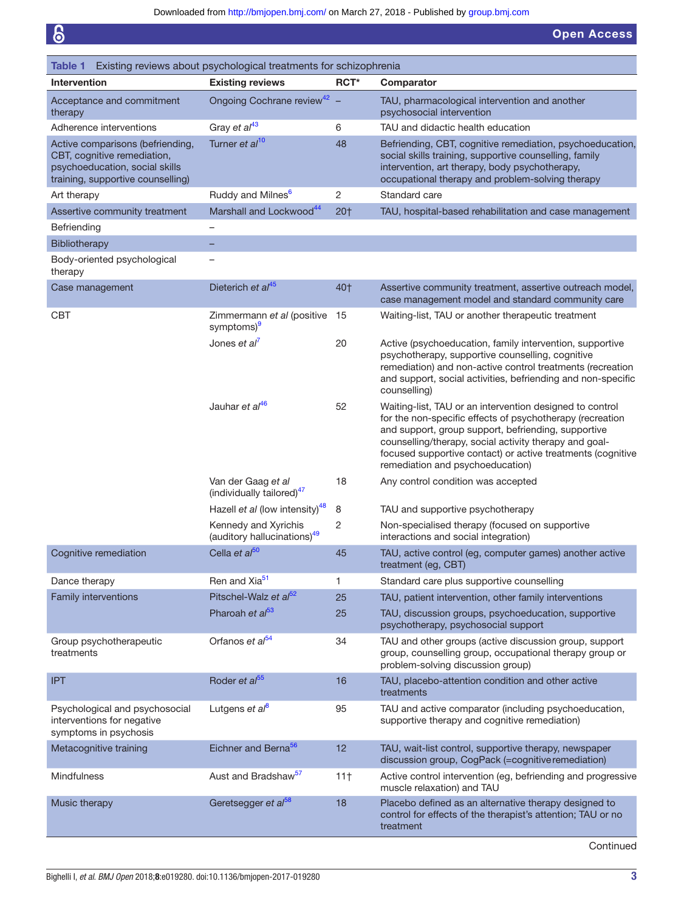$\overline{6}$ 

<span id="page-2-0"></span>

| Existing reviews about psychological treatments for schizophrenia<br>Table 1                                                           |                                                                 |                 |                                                                                                                                                                                                                                                                                                                                           |  |  |
|----------------------------------------------------------------------------------------------------------------------------------------|-----------------------------------------------------------------|-----------------|-------------------------------------------------------------------------------------------------------------------------------------------------------------------------------------------------------------------------------------------------------------------------------------------------------------------------------------------|--|--|
| <b>Intervention</b>                                                                                                                    | <b>Existing reviews</b>                                         | RCT*            | Comparator                                                                                                                                                                                                                                                                                                                                |  |  |
| Acceptance and commitment<br>therapy                                                                                                   | Ongoing Cochrane review <sup>42</sup> -                         |                 | TAU, pharmacological intervention and another<br>psychosocial intervention                                                                                                                                                                                                                                                                |  |  |
| Adherence interventions                                                                                                                | Gray et al <sup>43</sup>                                        | 6               | TAU and didactic health education                                                                                                                                                                                                                                                                                                         |  |  |
| Active comparisons (befriending,<br>CBT, cognitive remediation,<br>psychoeducation, social skills<br>training, supportive counselling) | Turner et al <sup>10</sup>                                      | 48              | Befriending, CBT, cognitive remediation, psychoeducation,<br>social skills training, supportive counselling, family<br>intervention, art therapy, body psychotherapy,<br>occupational therapy and problem-solving therapy                                                                                                                 |  |  |
| Art therapy                                                                                                                            | Ruddy and Milnes <sup>6</sup>                                   | 2               | Standard care                                                                                                                                                                                                                                                                                                                             |  |  |
| Assertive community treatment                                                                                                          | Marshall and Lockwood <sup>44</sup>                             | 20 <sub>†</sub> | TAU, hospital-based rehabilitation and case management                                                                                                                                                                                                                                                                                    |  |  |
| Befriending                                                                                                                            | $\overline{\phantom{0}}$                                        |                 |                                                                                                                                                                                                                                                                                                                                           |  |  |
| Bibliotherapy                                                                                                                          |                                                                 |                 |                                                                                                                                                                                                                                                                                                                                           |  |  |
| Body-oriented psychological<br>therapy                                                                                                 | $\overline{\phantom{0}}$                                        |                 |                                                                                                                                                                                                                                                                                                                                           |  |  |
| Case management                                                                                                                        | Dieterich et al <sup>45</sup>                                   | 40+             | Assertive community treatment, assertive outreach model,<br>case management model and standard community care                                                                                                                                                                                                                             |  |  |
| <b>CBT</b>                                                                                                                             | Zimmermann et al (positive<br>symptoms) <sup>9</sup>            | 15              | Waiting-list, TAU or another therapeutic treatment                                                                                                                                                                                                                                                                                        |  |  |
|                                                                                                                                        | Jones et al <sup>7</sup>                                        | 20              | Active (psychoeducation, family intervention, supportive<br>psychotherapy, supportive counselling, cognitive<br>remediation) and non-active control treatments (recreation<br>and support, social activities, befriending and non-specific<br>counselling)                                                                                |  |  |
|                                                                                                                                        | Jauhar et al <sup>46</sup>                                      | 52              | Waiting-list, TAU or an intervention designed to control<br>for the non-specific effects of psychotherapy (recreation<br>and support, group support, befriending, supportive<br>counselling/therapy, social activity therapy and goal-<br>focused supportive contact) or active treatments (cognitive<br>remediation and psychoeducation) |  |  |
|                                                                                                                                        | Van der Gaag et al<br>(individually tailored) <sup>47</sup>     | 18              | Any control condition was accepted                                                                                                                                                                                                                                                                                                        |  |  |
|                                                                                                                                        | Hazell et al (low intensity) $48$                               | 8               | TAU and supportive psychotherapy                                                                                                                                                                                                                                                                                                          |  |  |
|                                                                                                                                        | Kennedy and Xyrichis<br>(auditory hallucinations) <sup>49</sup> | 2               | Non-specialised therapy (focused on supportive<br>interactions and social integration)                                                                                                                                                                                                                                                    |  |  |
| Cognitive remediation                                                                                                                  | Cella et al <sup>50</sup>                                       | 45              | TAU, active control (eg, computer games) another active<br>treatment (eg, CBT)                                                                                                                                                                                                                                                            |  |  |
| Dance therapy                                                                                                                          | Ren and Xia <sup>51</sup>                                       | 1               | Standard care plus supportive counselling                                                                                                                                                                                                                                                                                                 |  |  |
| <b>Family interventions</b>                                                                                                            | Pitschel-Walz et al <sup>52</sup>                               | 25              | TAU, patient intervention, other family interventions                                                                                                                                                                                                                                                                                     |  |  |
|                                                                                                                                        | Pharoah et al <sup>53</sup>                                     | 25              | TAU, discussion groups, psychoeducation, supportive<br>psychotherapy, psychosocial support                                                                                                                                                                                                                                                |  |  |
| Group psychotherapeutic<br>treatments                                                                                                  | Orfanos et al <sup>54</sup>                                     | 34              | TAU and other groups (active discussion group, support<br>group, counselling group, occupational therapy group or<br>problem-solving discussion group)                                                                                                                                                                                    |  |  |
| <b>IPT</b>                                                                                                                             | Roder et al <sup>55</sup>                                       | 16              | TAU, placebo-attention condition and other active<br>treatments                                                                                                                                                                                                                                                                           |  |  |
| Psychological and psychosocial<br>interventions for negative<br>symptoms in psychosis                                                  | Lutgens et al <sup>8</sup>                                      | 95              | TAU and active comparator (including psychoeducation,<br>supportive therapy and cognitive remediation)                                                                                                                                                                                                                                    |  |  |
| Metacognitive training                                                                                                                 | Eichner and Berna <sup>56</sup>                                 | 12              | TAU, wait-list control, supportive therapy, newspaper<br>discussion group, CogPack (=cognitive remediation)                                                                                                                                                                                                                               |  |  |
| Mindfulness                                                                                                                            | Aust and Bradshaw <sup>57</sup>                                 | 11 <sup>†</sup> | Active control intervention (eg, befriending and progressive<br>muscle relaxation) and TAU                                                                                                                                                                                                                                                |  |  |
| Music therapy                                                                                                                          | Geretsegger et al <sup>58</sup>                                 | 18              | Placebo defined as an alternative therapy designed to<br>control for effects of the therapist's attention; TAU or no<br>treatment                                                                                                                                                                                                         |  |  |

Continued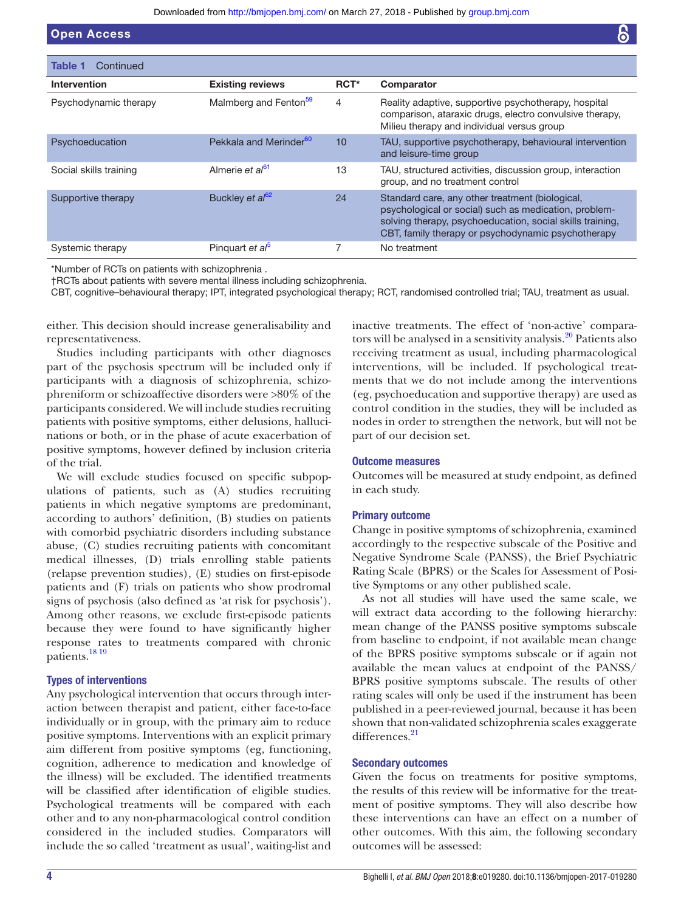| <b>Open Access</b>     |                                    |      | O                                                                                                                                                                                                                           |
|------------------------|------------------------------------|------|-----------------------------------------------------------------------------------------------------------------------------------------------------------------------------------------------------------------------------|
|                        |                                    |      |                                                                                                                                                                                                                             |
| Table 1<br>Continued   |                                    |      |                                                                                                                                                                                                                             |
| <b>Intervention</b>    | <b>Existing reviews</b>            | RCT* | Comparator                                                                                                                                                                                                                  |
| Psychodynamic therapy  | Malmberg and Fenton <sup>59</sup>  | 4    | Reality adaptive, supportive psychotherapy, hospital<br>comparison, ataraxic drugs, electro convulsive therapy,<br>Milieu therapy and individual versus group                                                               |
| Psychoeducation        | Pekkala and Merinder <sup>60</sup> | 10   | TAU, supportive psychotherapy, behavioural intervention<br>and leisure-time group                                                                                                                                           |
| Social skills training | Almerie et al <sup>61</sup>        | 13   | TAU, structured activities, discussion group, interaction<br>group, and no treatment control                                                                                                                                |
| Supportive therapy     | Buckley et al <sup>62</sup>        | 24   | Standard care, any other treatment (biological,<br>psychological or social) such as medication, problem-<br>solving therapy, psychoeducation, social skills training,<br>CBT, family therapy or psychodynamic psychotherapy |
| Systemic therapy       | Pinguart et al <sup>b</sup>        |      | No treatment                                                                                                                                                                                                                |

\*Number of RCTs on patients with schizophrenia .

†RCTs about patients with severe mental illness including schizophrenia.

CBT, cognitive–behavioural therapy; IPT, integrated psychological therapy; RCT, randomised controlled trial; TAU, treatment as usual.

either. This decision should increase generalisability and representativeness.

Studies including participants with other diagnoses part of the psychosis spectrum will be included only if participants with a diagnosis of schizophrenia, schizophreniform or schizoaffective disorders were >80% of the participants considered. We will include studies recruiting patients with positive symptoms, either delusions, hallucinations or both, or in the phase of acute exacerbation of positive symptoms, however defined by inclusion criteria of the trial.

We will exclude studies focused on specific subpopulations of patients, such as (A) studies recruiting patients in which negative symptoms are predominant, according to authors' definition, (B) studies on patients with comorbid psychiatric disorders including substance abuse, (C) studies recruiting patients with concomitant medical illnesses, (D) trials enrolling stable patients (relapse prevention studies), (E) studies on first-episode patients and (F) trials on patients who show prodromal signs of psychosis (also defined as 'at risk for psychosis'). Among other reasons, we exclude first-episode patients because they were found to have significantly higher response rates to treatments compared with chronic patients.<sup>18</sup><sup>19</sup>

#### Types of interventions

Any psychological intervention that occurs through interaction between therapist and patient, either face-to-face individually or in group, with the primary aim to reduce positive symptoms. Interventions with an explicit primary aim different from positive symptoms (eg, functioning, cognition, adherence to medication and knowledge of the illness) will be excluded. The identified treatments will be classified after identification of eligible studies. Psychological treatments will be compared with each other and to any non-pharmacological control condition considered in the included studies. Comparators will include the so called 'treatment as usual', waiting-list and

inactive treatments. The effect of 'non-active' comparators will be analysed in a sensitivity analysis.<sup>20</sup> Patients also receiving treatment as usual, including pharmacological interventions, will be included. If psychological treatments that we do not include among the interventions (eg, psychoeducation and supportive therapy) are used as control condition in the studies, they will be included as nodes in order to strengthen the network, but will not be part of our decision set.

#### Outcome measures

Outcomes will be measured at study endpoint, as defined in each study.

#### Primary outcome

Change in positive symptoms of schizophrenia, examined accordingly to the respective subscale of the Positive and Negative Syndrome Scale (PANSS), the Brief Psychiatric Rating Scale (BPRS) or the Scales for Assessment of Positive Symptoms or any other published scale.

As not all studies will have used the same scale, we will extract data according to the following hierarchy: mean change of the PANSS positive symptoms subscale from baseline to endpoint, if not available mean change of the BPRS positive symptoms subscale or if again not available the mean values at endpoint of the PANSS/ BPRS positive symptoms subscale. The results of other rating scales will only be used if the instrument has been published in a peer-reviewed journal, because it has been shown that non-validated schizophrenia scales exaggerate differences.<sup>[21](#page-8-18)</sup>

#### Secondary outcomes

Given the focus on treatments for positive symptoms, the results of this review will be informative for the treatment of positive symptoms. They will also describe how these interventions can have an effect on a number of other outcomes. With this aim, the following secondary outcomes will be assessed: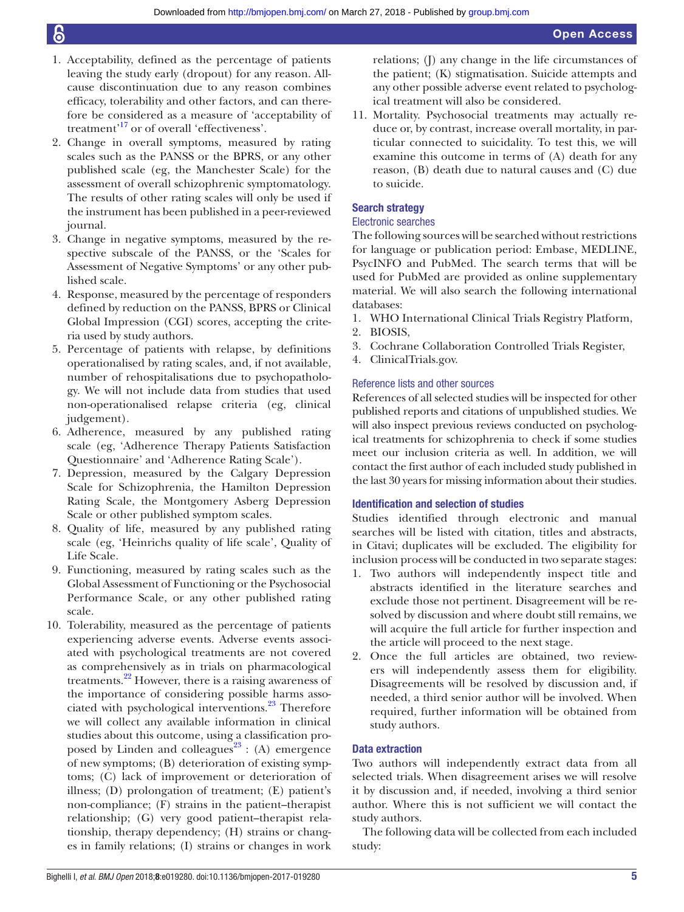- 1. Acceptability, defined as the percentage of patients leaving the study early (dropout) for any reason. Allcause discontinuation due to any reason combines efficacy, tolerability and other factors, and can therefore be considered as a measure of 'acceptability of treatment['17](#page-7-11) or of overall 'effectiveness'.
- 2. Change in overall symptoms, measured by rating scales such as the PANSS or the BPRS, or any other published scale (eg, the Manchester Scale) for the assessment of overall schizophrenic symptomatology. The results of other rating scales will only be used if the instrument has been published in a peer-reviewed journal.
- 3. Change in negative symptoms, measured by the respective subscale of the PANSS, or the 'Scales for Assessment of Negative Symptoms' or any other published scale.
- 4. Response, measured by the percentage of responders defined by reduction on the PANSS, BPRS or Clinical Global Impression (CGI) scores, accepting the criteria used by study authors.
- 5. Percentage of patients with relapse, by definitions operationalised by rating scales, and, if not available, number of rehospitalisations due to psychopathology. We will not include data from studies that used non-operationalised relapse criteria (eg, clinical judgement).
- 6. Adherence, measured by any published rating scale (eg, 'Adherence Therapy Patients Satisfaction Questionnaire' and 'Adherence Rating Scale').
- 7. Depression, measured by the Calgary Depression Scale for Schizophrenia, the Hamilton Depression Rating Scale, the Montgomery Asberg Depression Scale or other published symptom scales.
- 8. Quality of life, measured by any published rating scale (eg, 'Heinrichs quality of life scale', Quality of Life Scale.
- 9. Functioning, measured by rating scales such as the Global Assessment of Functioning or the Psychosocial Performance Scale, or any other published rating scale.
- 10. Tolerability, measured as the percentage of patients experiencing adverse events. Adverse events associated with psychological treatments are not covered as comprehensively as in trials on pharmacological treatments.[22](#page-8-23) However, there is a raising awareness of the importance of considering possible harms associated with psychological interventions.<sup>23</sup> Therefore we will collect any available information in clinical studies about this outcome, using a classification proposed by Linden and colleagues $23$  : (A) emergence of new symptoms; (B) deterioration of existing symptoms; (C) lack of improvement or deterioration of illness; (D) prolongation of treatment; (E) patient's non-compliance; (F) strains in the patient–therapist relationship; (G) very good patient–therapist relationship, therapy dependency; (H) strains or changes in family relations; (I) strains or changes in work

relations; (J) any change in the life circumstances of the patient; (K) stigmatisation. Suicide attempts and any other possible adverse event related to psychological treatment will also be considered.

11. Mortality. Psychosocial treatments may actually reduce or, by contrast, increase overall mortality, in particular connected to suicidality. To test this, we will examine this outcome in terms of (A) death for any reason, (B) death due to natural causes and (C) due to suicide.

#### Search strategy

#### Electronic searches

The following sources will be searched without restrictions for language or publication period: Embase, MEDLINE, PsycINFO and PubMed. The search terms that will be used for PubMed are provided as online [supplementary](https://dx.doi.org/10.1136/bmjopen-2017-019280)  [material.](https://dx.doi.org/10.1136/bmjopen-2017-019280) We will also search the following international databases:

- 1. WHO International Clinical Trials Registry Platform,
- 2. BIOSIS,
- 3. Cochrane Collaboration Controlled Trials Register,
- 4. ClinicalTrials.gov.

#### Reference lists and other sources

References of all selected studies will be inspected for other published reports and citations of unpublished studies. We will also inspect previous reviews conducted on psychological treatments for schizophrenia to check if some studies meet our inclusion criteria as well. In addition, we will contact the first author of each included study published in the last 30 years for missing information about their studies.

#### Identification and selection of studies

Studies identified through electronic and manual searches will be listed with citation, titles and abstracts, in Citavi; duplicates will be excluded. The eligibility for inclusion process will be conducted in two separate stages:

- 1. Two authors will independently inspect title and abstracts identified in the literature searches and exclude those not pertinent. Disagreement will be resolved by discussion and where doubt still remains, we will acquire the full article for further inspection and the article will proceed to the next stage.
- 2. Once the full articles are obtained, two reviewers will independently assess them for eligibility. Disagreements will be resolved by discussion and, if needed, a third senior author will be involved. When required, further information will be obtained from study authors.

#### Data extraction

Two authors will independently extract data from all selected trials. When disagreement arises we will resolve it by discussion and, if needed, involving a third senior author. Where this is not sufficient we will contact the study authors.

The following data will be collected from each included study: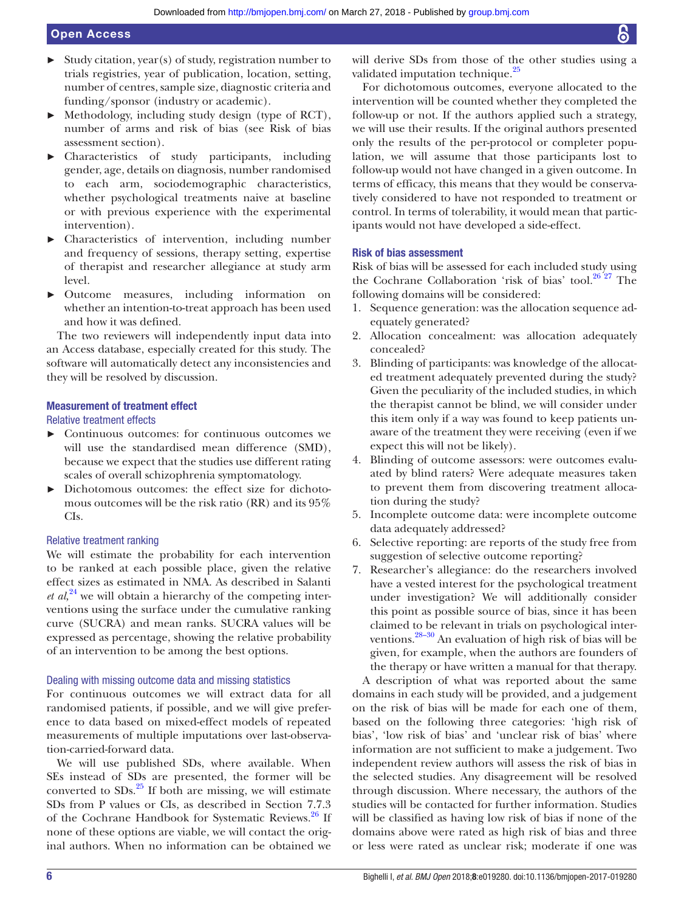will derive SDs from those of the other studies using a

validated imputation technique.<sup>25</sup>

- ► Study citation, year(s) of study, registration number to trials registries, year of publication, location, setting, number of centres, sample size, diagnostic criteria and funding/sponsor (industry or academic).
- Methodology, including study design (type of RCT), number of arms and risk of bias (see Risk of bias assessment section).
- ► Characteristics of study participants, including gender, age, details on diagnosis, number randomised to each arm, sociodemographic characteristics, whether psychological treatments naive at baseline or with previous experience with the experimental intervention).
- Characteristics of intervention, including number and frequency of sessions, therapy setting, expertise of therapist and researcher allegiance at study arm level.
- ► Outcome measures, including information on whether an intention-to-treat approach has been used and how it was defined.

The two reviewers will independently input data into an Access database, especially created for this study. The software will automatically detect any inconsistencies and they will be resolved by discussion.

#### Measurement of treatment effect

#### Relative treatment effects

- Continuous outcomes: for continuous outcomes we will use the standardised mean difference (SMD), because we expect that the studies use different rating scales of overall schizophrenia symptomatology.
- ► Dichotomous outcomes: the effect size for dichotomous outcomes will be the risk ratio (RR) and its 95% CIs.

#### Relative treatment ranking

We will estimate the probability for each intervention to be ranked at each possible place, given the relative effect sizes as estimated in NMA. As described in Salanti *et al,*[24](#page-8-25) we will obtain a hierarchy of the competing interventions using the surface under the cumulative ranking curve (SUCRA) and mean ranks. SUCRA values will be expressed as percentage, showing the relative probability of an intervention to be among the best options.

#### Dealing with missing outcome data and missing statistics

For continuous outcomes we will extract data for all randomised patients, if possible, and we will give preference to data based on mixed-effect models of repeated measurements of multiple imputations over last-observation-carried-forward data.

We will use published SDs, where available. When SEs instead of SDs are presented, the former will be converted to  $SDs$ <sup>[25](#page-8-26)</sup> If both are missing, we will estimate SDs from P values or CIs, as described in Section 7.7.3 of the Cochrane Handbook for Systematic Reviews.<sup>26</sup> If none of these options are viable, we will contact the original authors. When no information can be obtained we

For dichotomous outcomes, everyone allocated to the intervention will be counted whether they completed the follow-up or not. If the authors applied such a strategy, we will use their results. If the original authors presented only the results of the per-protocol or completer population, we will assume that those participants lost to follow-up would not have changed in a given outcome. In terms of efficacy, this means that they would be conservatively considered to have not responded to treatment or control. In terms of tolerability, it would mean that participants would not have developed a side-effect.

#### Risk of bias assessment

Risk of bias will be assessed for each included study using the Cochrane Collaboration 'risk of bias' tool.<sup>26 27</sup> The following domains will be considered:

- 1. Sequence generation: was the allocation sequence adequately generated?
- 2. Allocation concealment: was allocation adequately concealed?
- 3. Blinding of participants: was knowledge of the allocated treatment adequately prevented during the study? Given the peculiarity of the included studies, in which the therapist cannot be blind, we will consider under this item only if a way was found to keep patients unaware of the treatment they were receiving (even if we expect this will not be likely).
- 4. Blinding of outcome assessors: were outcomes evaluated by blind raters? Were adequate measures taken to prevent them from discovering treatment allocation during the study?
- 5. Incomplete outcome data: were incomplete outcome data adequately addressed?
- 6. Selective reporting: are reports of the study free from suggestion of selective outcome reporting?
- 7. Researcher's allegiance: do the researchers involved have a vested interest for the psychological treatment under investigation? We will additionally consider this point as possible source of bias, since it has been claimed to be relevant in trials on psychological interventions. $28-30$  An evaluation of high risk of bias will be given, for example, when the authors are founders of the therapy or have written a manual for that therapy.

A description of what was reported about the same domains in each study will be provided, and a judgement on the risk of bias will be made for each one of them, based on the following three categories: 'high risk of bias', 'low risk of bias' and 'unclear risk of bias' where information are not sufficient to make a judgement. Two independent review authors will assess the risk of bias in the selected studies. Any disagreement will be resolved through discussion. Where necessary, the authors of the studies will be contacted for further information. Studies will be classified as having low risk of bias if none of the domains above were rated as high risk of bias and three or less were rated as unclear risk; moderate if one was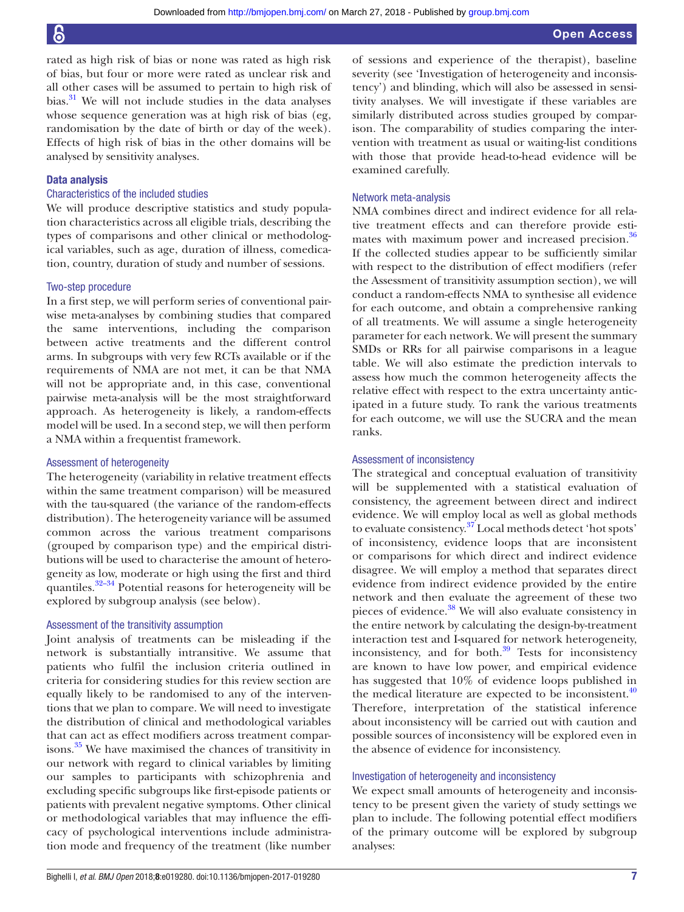6

rated as high risk of bias or none was rated as high risk of bias, but four or more were rated as unclear risk and all other cases will be assumed to pertain to high risk of bias.<sup>31</sup> We will not include studies in the data analyses whose sequence generation was at high risk of bias (eg, randomisation by the date of birth or day of the week). Effects of high risk of bias in the other domains will be analysed by sensitivity analyses.

#### Data analysis

#### Characteristics of the included studies

We will produce descriptive statistics and study population characteristics across all eligible trials, describing the types of comparisons and other clinical or methodological variables, such as age, duration of illness, comedication, country, duration of study and number of sessions.

#### Two-step procedure

In a first step, we will perform series of conventional pairwise meta-analyses by combining studies that compared the same interventions, including the comparison between active treatments and the different control arms. In subgroups with very few RCTs available or if the requirements of NMA are not met, it can be that NMA will not be appropriate and, in this case, conventional pairwise meta-analysis will be the most straightforward approach. As heterogeneity is likely, a random-effects model will be used. In a second step, we will then perform a NMA within a frequentist framework.

#### Assessment of heterogeneity

The heterogeneity (variability in relative treatment effects within the same treatment comparison) will be measured with the tau-squared (the variance of the random-effects distribution). The heterogeneity variance will be assumed common across the various treatment comparisons (grouped by comparison type) and the empirical distributions will be used to characterise the amount of heterogeneity as low, moderate or high using the first and third quantiles.[32–34](#page-8-30) Potential reasons for heterogeneity will be explored by subgroup analysis (see below).

#### Assessment of the transitivity assumption

Joint analysis of treatments can be misleading if the network is substantially intransitive. We assume that patients who fulfil the inclusion criteria outlined in criteria for considering studies for this review section are equally likely to be randomised to any of the interventions that we plan to compare. We will need to investigate the distribution of clinical and methodological variables that can act as effect modifiers across treatment comparisons.[35](#page-8-31) We have maximised the chances of transitivity in our network with regard to clinical variables by limiting our samples to participants with schizophrenia and excluding specific subgroups like first-episode patients or patients with prevalent negative symptoms. Other clinical or methodological variables that may influence the efficacy of psychological interventions include administration mode and frequency of the treatment (like number

of sessions and experience of the therapist), baseline severity (see 'Investigation of heterogeneity and inconsistency') and blinding, which will also be assessed in sensitivity analyses. We will investigate if these variables are similarly distributed across studies grouped by comparison. The comparability of studies comparing the intervention with treatment as usual or waiting-list conditions with those that provide head-to-head evidence will be examined carefully.

#### Network meta-analysis

NMA combines direct and indirect evidence for all relative treatment effects and can therefore provide esti-mates with maximum power and increased precision.<sup>[36](#page-8-32)</sup> If the collected studies appear to be sufficiently similar with respect to the distribution of effect modifiers (refer the Assessment of transitivity assumption section), we will conduct a random-effects NMA to synthesise all evidence for each outcome, and obtain a comprehensive ranking of all treatments. We will assume a single heterogeneity parameter for each network. We will present the summary SMDs or RRs for all pairwise comparisons in a league table. We will also estimate the prediction intervals to assess how much the common heterogeneity affects the relative effect with respect to the extra uncertainty anticipated in a future study. To rank the various treatments for each outcome, we will use the SUCRA and the mean ranks.

#### Assessment of inconsistency

The strategical and conceptual evaluation of transitivity will be supplemented with a statistical evaluation of consistency, the agreement between direct and indirect evidence. We will employ local as well as global methods to evaluate consistency.[37](#page-8-33) Local methods detect 'hot spots' of inconsistency, evidence loops that are inconsistent or comparisons for which direct and indirect evidence disagree. We will employ a method that separates direct evidence from indirect evidence provided by the entire network and then evaluate the agreement of these two pieces of evidence.<sup>38</sup> We will also evaluate consistency in the entire network by calculating the design-by-treatment interaction test and I-squared for network heterogeneity, inconsistency, and for both. $39$  Tests for inconsistency are known to have low power, and empirical evidence has suggested that 10% of evidence loops published in the medical literature are expected to be inconsistent. $40$ Therefore, interpretation of the statistical inference about inconsistency will be carried out with caution and possible sources of inconsistency will be explored even in the absence of evidence for inconsistency.

#### Investigation of heterogeneity and inconsistency

We expect small amounts of heterogeneity and inconsistency to be present given the variety of study settings we plan to include. The following potential effect modifiers of the primary outcome will be explored by subgroup analyses: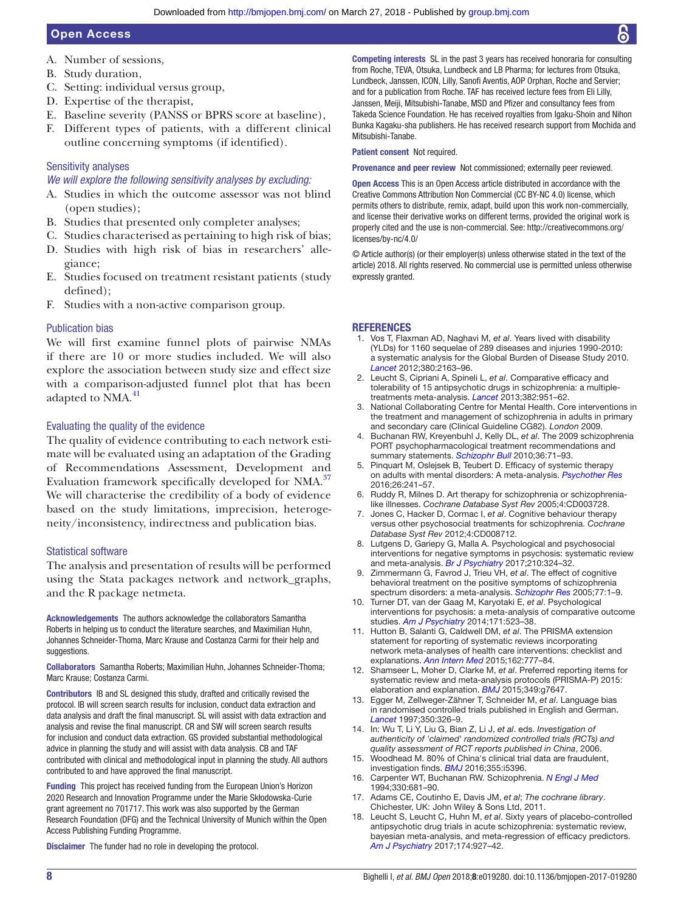#### Open Access

- A. Number of sessions,
- B. Study duration,
- C. Setting: individual versus group,
- D. Expertise of the therapist,
- E. Baseline severity (PANSS or BPRS score at baseline),
- F. Different types of patients, with a different clinical outline concerning symptoms (if identified).

#### Sensitivity analyses

#### *We will explore the following sensitivity analyses by excluding:*

- A. Studies in which the outcome assessor was not blind (open studies);
- B. Studies that presented only completer analyses;
- C. Studies characterised as pertaining to high risk of bias;
- D. Studies with high risk of bias in researchers' allegiance;
- E. Studies focused on treatment resistant patients (study defined);
- F. Studies with a non-active comparison group.

#### Publication bias

We will first examine funnel plots of pairwise NMAs if there are 10 or more studies included. We will also explore the association between study size and effect size with a comparison-adjusted funnel plot that has been adapted to NMA.<sup>41</sup>

#### Evaluating the quality of the evidence

The quality of evidence contributing to each network estimate will be evaluated using an adaptation of the Grading of Recommendations Assessment, Development and Evaluation framework specifically developed for NMA.<sup>37</sup> We will characterise the credibility of a body of evidence based on the study limitations, imprecision, heterogeneity/inconsistency, indirectness and publication bias.

#### Statistical software

The analysis and presentation of results will be performed using the Stata packages network and network\_graphs, and the R package netmeta.

Acknowledgements The authors acknowledge the collaborators Samantha Roberts in helping us to conduct the literature searches, and Maximilian Huhn, Johannes Schneider-Thoma, Marc Krause and Costanza Carmi for their help and suggestions.

Collaborators Samantha Roberts; Maximilian Huhn, Johannes Schneider-Thoma; Marc Krause; Costanza Carmi.

Contributors IB and SL designed this study, drafted and critically revised the protocol. IB will screen search results for inclusion, conduct data extraction and data analysis and draft the final manuscript. SL will assist with data extraction and analysis and revise the final manuscript. CR and SW will screen search results for inclusion and conduct data extraction. GS provided substantial methodological advice in planning the study and will assist with data analysis. CB and TAF contributed with clinical and methodological input in planning the study. All authors contributed to and have approved the final manuscript.

Funding This project has received funding from the European Union's Horizon 2020 Research and Innovation Programme under the Marie Skłodowska-Curie grant agreement no 701717. This work was also supported by the German Research Foundation (DFG) and the Technical University of Munich within the Open Access Publishing Funding Programme.

Disclaimer The funder had no role in developing the protocol.

Competing interests SL in the past 3 years has received honoraria for consulting from Roche, TEVA, Otsuka, Lundbeck and LB Pharma; for lectures from Otsuka, Lundbeck, Janssen, ICON, Lilly, Sanofi Aventis, AOP Orphan, Roche and Servier; and for a publication from Roche. TAF has received lecture fees from Eli Lilly, Janssen, Meiji, Mitsubishi-Tanabe, MSD and Pfizer and consultancy fees from Takeda Science Foundation. He has received royalties from Igaku-Shoin and Nihon Bunka Kagaku-sha publishers. He has received research support from Mochida and Mitsubishi-Tanabe.

Patient consent Not required.

Provenance and peer review Not commissioned; externally peer reviewed.

Open Access This is an Open Access article distributed in accordance with the Creative Commons Attribution Non Commercial (CC BY-NC 4.0) license, which permits others to distribute, remix, adapt, build upon this work non-commercially, and license their derivative works on different terms, provided the original work is properly cited and the use is non-commercial. See: [http://creativecommons.org/](http://creativecommons.org/licenses/by-nc/4.0/) [licenses/by-nc/4.0/](http://creativecommons.org/licenses/by-nc/4.0/)

© Article author(s) (or their employer(s) unless otherwise stated in the text of the article) 2018. All rights reserved. No commercial use is permitted unless otherwise expressly granted.

#### **REFERENCES**

- <span id="page-7-0"></span>1. Vos T, Flaxman AD, Naghavi M, *et al*. Years lived with disability (YLDs) for 1160 sequelae of 289 diseases and injuries 1990-2010: a systematic analysis for the Global Burden of Disease Study 2010. *[Lancet](http://dx.doi.org/10.1016/S0140-6736(12)61729-2)* 2012;380:2163–96.
- <span id="page-7-1"></span>2. Leucht S, Cipriani A, Spineli L, *et al*. Comparative efficacy and tolerability of 15 antipsychotic drugs in schizophrenia: a multipletreatments meta-analysis. *[Lancet](http://dx.doi.org/10.1016/S0140-6736(13)60733-3)* 2013;382:951–62.
- <span id="page-7-2"></span>3. National Collaborating Centre for Mental Health. Core interventions in the treatment and management of schizophrenia in adults in primary and secondary care (Clinical Guideline CG82). *London* 2009.
- <span id="page-7-3"></span>4. Buchanan RW, Kreyenbuhl J, Kelly DL, *et al*. The 2009 schizophrenia PORT psychopharmacological treatment recommendations and summary statements. *[Schizophr Bull](http://dx.doi.org/10.1093/schbul/sbp116)* 2010;36:71–93.
- <span id="page-7-4"></span>5. Pinquart M, Oslejsek B, Teubert D. Efficacy of systemic therapy on adults with mental disorders: A meta-analysis. *[Psychother Res](http://dx.doi.org/10.1080/10503307.2014.935830)* 2016;26:241–57.
- <span id="page-7-12"></span>6. Ruddy R, Milnes D. Art therapy for schizophrenia or schizophrenialike illnesses. *Cochrane Database Syst Rev* 2005;4:CD003728.
- <span id="page-7-5"></span>7. Jones C, Hacker D, Cormac I, *et al*. Cognitive behaviour therapy versus other psychosocial treatments for schizophrenia. *Cochrane Database Syst Rev* 2012;4:CD008712.
- <span id="page-7-14"></span>Lutgens D, Gariepy G, Malla A. Psychological and psychosocial interventions for negative symptoms in psychosis: systematic review and meta-analysis. *[Br J Psychiatry](http://dx.doi.org/10.1192/bjp.bp.116.197103)* 2017;210:324–32.
- <span id="page-7-13"></span>9. Zimmermann G, Favrod J, Trieu VH, *et al*. The effect of cognitive behavioral treatment on the positive symptoms of schizophrenia spectrum disorders: a meta-analysis. *[Schizophr Res](http://dx.doi.org/10.1016/j.schres.2005.02.018)* 2005;77:1–9.
- <span id="page-7-6"></span>10. Turner DT, van der Gaag M, Karyotaki E, *et al*. Psychological interventions for psychosis: a meta-analysis of comparative outcome studies. *[Am J Psychiatry](http://dx.doi.org/10.1176/appi.ajp.2013.13081159)* 2014;171:523–38.
- <span id="page-7-7"></span>11. Hutton B, Salanti G, Caldwell DM, *et al*. The PRISMA extension statement for reporting of systematic reviews incorporating network meta-analyses of health care interventions: checklist and explanations. *[Ann Intern Med](http://dx.doi.org/10.7326/M14-2385)* 2015;162:777–84.
- 12. Shamseer L, Moher D, Clarke M, *et al*. Preferred reporting items for systematic review and meta-analysis protocols (PRISMA-P) 2015: elaboration and explanation. *[BMJ](http://dx.doi.org/10.1136/bmj.g7647)* 2015;349:g7647.
- <span id="page-7-8"></span>13. Egger M, Zellweger-Zähner T, Schneider M, *et al*. Language bias in randomised controlled trials published in English and German. *[Lancet](http://dx.doi.org/10.1016/S0140-6736(97)02419-7)* 1997;350:326–9.
- <span id="page-7-9"></span>14. In: Wu T, Li Y, Liu G, Bian Z, Li J, *et al*. eds. *Investigation of authenticity of 'claimed' randomized controlled trials (RCTs) and quality assessment of RCT reports published in China*, 2006.
- 15. Woodhead M. 80% of China's clinical trial data are fraudulent, investigation finds. *[BMJ](http://www.ncbi.nlm.nih.gov/pubmed/27707716)* 2016;355:i5396.
- <span id="page-7-10"></span>16. Carpenter WT, Buchanan RW. Schizophrenia. *[N Engl J Med](http://dx.doi.org/10.1056/NEJM199403103301006)* 1994;330:681–90.
- <span id="page-7-11"></span>17. Adams CE, Coutinho E, Davis JM, *et al*; *The cochrane library*. Chichester, UK: John Wiley & Sons Ltd, 2011.
- <span id="page-7-15"></span>18. Leucht S, Leucht C, Huhn M, *et al*. Sixty years of placebo-controlled antipsychotic drug trials in acute schizophrenia: systematic review, bayesian meta-analysis, and meta-regression of efficacy predictors. *[Am J Psychiatry](http://dx.doi.org/10.1176/appi.ajp.2017.16121358)* 2017;174:927–42.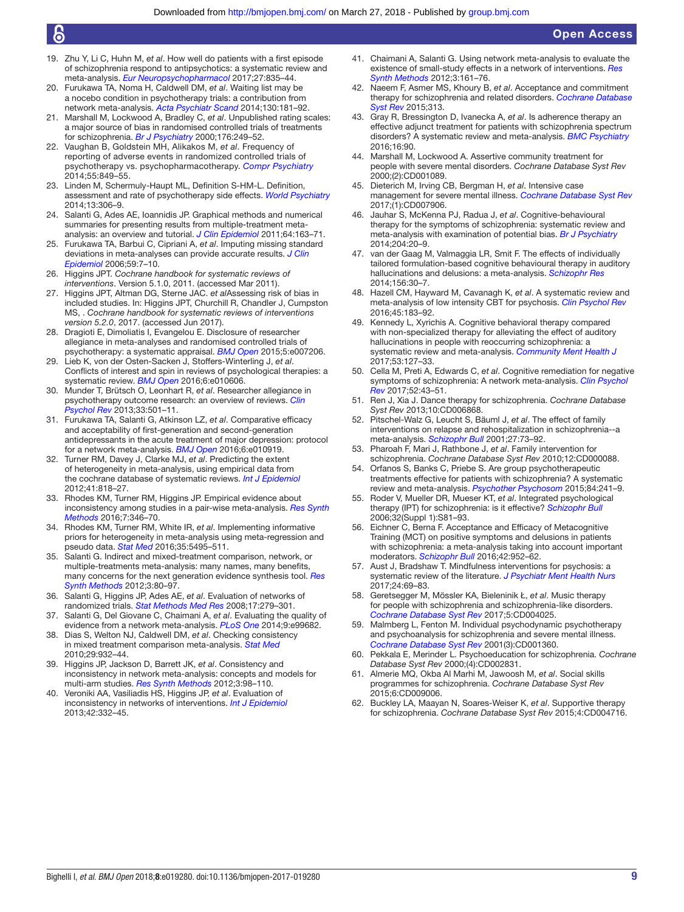- 19. Zhu Y, Li C, Huhn M, *et al*. How well do patients with a first episode of schizophrenia respond to antipsychotics: a systematic review and meta-analysis. *[Eur Neuropsychopharmacol](http://dx.doi.org/10.1016/j.euroneuro.2017.06.011)* 2017;27:835–44.
- <span id="page-8-17"></span>20. Furukawa TA, Noma H, Caldwell DM, *et al*. Waiting list may be a nocebo condition in psychotherapy trials: a contribution from network meta-analysis. *[Acta Psychiatr Scand](http://dx.doi.org/10.1111/acps.12275)* 2014;130:181–92.
- <span id="page-8-18"></span>21. Marshall M, Lockwood A, Bradley C, *et al*. Unpublished rating scales: a major source of bias in randomised controlled trials of treatments for schizophrenia. *[Br J Psychiatry](http://dx.doi.org/10.1192/bjp.176.3.249)* 2000;176:249–52.
- <span id="page-8-23"></span>22. Vaughan B, Goldstein MH, Alikakos M, *et al*. Frequency of reporting of adverse events in randomized controlled trials of psychotherapy vs. psychopharmacotherapy. *[Compr Psychiatry](http://dx.doi.org/10.1016/j.comppsych.2014.01.001)* 2014;55:849–55.
- <span id="page-8-24"></span>23. Linden M, Schermuly-Haupt ML, Definition S-HM-L. Definition, assessment and rate of psychotherapy side effects. *[World Psychiatry](http://dx.doi.org/10.1002/wps.20153)* 2014;13:306–9.
- <span id="page-8-25"></span>24. Salanti G, Ades AE, Ioannidis JP. Graphical methods and numerical summaries for presenting results from multiple-treatment metaanalysis: an overview and tutorial. *[J Clin Epidemiol](http://dx.doi.org/10.1016/j.jclinepi.2010.03.016)* 2011;64:163–71.
- <span id="page-8-26"></span>25. Furukawa TA, Barbui C, Cipriani A, *et al*. Imputing missing standard deviations in meta-analyses can provide accurate results. *[J Clin](http://dx.doi.org/10.1016/j.jclinepi.2005.06.006)  [Epidemiol](http://dx.doi.org/10.1016/j.jclinepi.2005.06.006)* 2006;59:7–10.
- <span id="page-8-27"></span>26. Higgins JPT. *Cochrane handbook for systematic reviews of interventions*. Version 5.1.0, 2011. (accessed Mar 2011).
- 27. Higgins JPT, Altman DG, Sterne JAC. *et al*Assessing risk of bias in included studies. In: Higgins JPT, Churchill R, Chandler J, Cumpston MS, . *Cochrane handbook for systematic reviews of interventions version 5.2.0*, 2017. (accessed Jun 2017).
- <span id="page-8-28"></span>28. Dragioti E, Dimoliatis I, Evangelou E. Disclosure of researcher allegiance in meta-analyses and randomised controlled trials of psychotherapy: a systematic appraisal. *[BMJ Open](http://dx.doi.org/10.1136/bmjopen-2014-007206)* 2015;5:e007206.
- 29. Lieb K, von der Osten-Sacken J, Stoffers-Winterling J, *et al*. Conflicts of interest and spin in reviews of psychological therapies: a systematic review. *[BMJ Open](http://dx.doi.org/10.1136/bmjopen-2015-010606)* 2016;6:e010606.
- 30. Munder T, Brütsch O, Leonhart R, *et al*. Researcher allegiance in psychotherapy outcome research: an overview of reviews. *[Clin](http://dx.doi.org/10.1016/j.cpr.2013.02.002)  [Psychol Rev](http://dx.doi.org/10.1016/j.cpr.2013.02.002)* 2013;33:501–11.
- <span id="page-8-29"></span>31. Furukawa TA, Salanti G, Atkinson LZ, *et al*. Comparative efficacy and acceptability of first-generation and second-generation antidepressants in the acute treatment of major depression: protocol for a network meta-analysis. *[BMJ Open](http://dx.doi.org/10.1136/bmjopen-2015-010919)* 2016;6:e010919.
- <span id="page-8-30"></span>32. Turner RM, Davey J, Clarke MJ, *et al*. Predicting the extent of heterogeneity in meta-analysis, using empirical data from the cochrane database of systematic reviews. *[Int J Epidemiol](http://dx.doi.org/10.1093/ije/dys041)* 2012;41:818–27.
- 33. Rhodes KM, Turner RM, Higgins JP. Empirical evidence about inconsistency among studies in a pair-wise meta-analysis. *[Res Synth](http://dx.doi.org/10.1002/jrsm.1193)  [Methods](http://dx.doi.org/10.1002/jrsm.1193)* 2016;7:346–70.
- 34. Rhodes KM, Turner RM, White IR, *et al*. Implementing informative priors for heterogeneity in meta-analysis using meta-regression and pseudo data. *[Stat Med](http://dx.doi.org/10.1002/sim.7090)* 2016;35:5495–511.
- <span id="page-8-31"></span>35. Salanti G. Indirect and mixed-treatment comparison, network, or multiple-treatments meta-analysis: many names, many benefits, many concerns for the next generation evidence synthesis tool. *[Res](http://dx.doi.org/10.1002/jrsm.1037)  [Synth Methods](http://dx.doi.org/10.1002/jrsm.1037)* 2012;3:80–97.
- <span id="page-8-32"></span>36. Salanti G, Higgins JP, Ades AE, *et al*. Evaluation of networks of randomized trials. *[Stat Methods Med Res](http://dx.doi.org/10.1177/0962280207080643)* 2008;17:279–301.
- <span id="page-8-33"></span>37. Salanti G, Del Giovane C, Chaimani A, *et al*. Evaluating the quality of evidence from a network meta-analysis. *[PLoS One](http://dx.doi.org/10.1371/journal.pone.0099682)* 2014;9:e99682.
- <span id="page-8-34"></span>38. Dias S, Welton NJ, Caldwell DM, *et al*. Checking consistency in mixed treatment comparison meta-analysis. *[Stat Med](http://dx.doi.org/10.1002/sim.3767)* 2010;29:932–44.
- <span id="page-8-35"></span>39. Higgins JP, Jackson D, Barrett JK, *et al*. Consistency and inconsistency in network meta-analysis: concepts and models for multi-arm studies. *[Res Synth Methods](http://dx.doi.org/10.1002/jrsm.1044)* 2012;3:98–110.
- <span id="page-8-36"></span>40. Veroniki AA, Vasiliadis HS, Higgins JP, *et al*. Evaluation of inconsistency in networks of interventions. *[Int J Epidemiol](http://dx.doi.org/10.1093/ije/dys222)* 2013;42:332–45.
- <span id="page-8-37"></span>41. Chaimani A, Salanti G. Using network meta-analysis to evaluate the existence of small-study effects in a network of interventions. *[Res](http://dx.doi.org/10.1002/jrsm.57)  [Synth Methods](http://dx.doi.org/10.1002/jrsm.57)* 2012;3:161–76.
- <span id="page-8-0"></span>42. Naeem F, Asmer MS, Khoury B, *et al*. Acceptance and commitment therapy for schizophrenia and related disorders. *[Cochrane Database](http://dx.doi.org/10.1002/14651858.CD011734)  [Syst Rev](http://dx.doi.org/10.1002/14651858.CD011734)* 2015;313.
- <span id="page-8-1"></span>43. Gray R, Bressington D, Ivanecka A, *et al*. Is adherence therapy an effective adjunct treatment for patients with schizophrenia spectrum disorders? A systematic review and meta-analysis. *[BMC Psychiatry](http://dx.doi.org/10.1186/s12888-016-0801-1)* 2016;16:90.
- <span id="page-8-2"></span>44. Marshall M, Lockwood A. Assertive community treatment for people with severe mental disorders. *Cochrane Database Syst Rev* 2000;(2):CD001089.
- <span id="page-8-3"></span>45. Dieterich M, Irving CB, Bergman H, *et al*. Intensive case management for severe mental illness. *[Cochrane Database Syst Rev](http://dx.doi.org/10.1002/14651858.CD007906.pub3)* 2017;(1):CD007906.
- <span id="page-8-4"></span>46. Jauhar S, McKenna PJ, Radua J, *et al*. Cognitive-behavioural therapy for the symptoms of schizophrenia: systematic review and meta-analysis with examination of potential bias. *[Br J Psychiatry](http://dx.doi.org/10.1192/bjp.bp.112.116285)* 2014;204:20–9.
- <span id="page-8-5"></span>47. van der Gaag M, Valmaggia LR, Smit F. The effects of individually tailored formulation-based cognitive behavioural therapy in auditory hallucinations and delusions: a meta-analysis. *[Schizophr Res](http://dx.doi.org/10.1016/j.schres.2014.03.016)* 2014;156:30–7.
- <span id="page-8-6"></span>48. Hazell CM, Hayward M, Cavanagh K, *et al*. A systematic review and meta-analysis of low intensity CBT for psychosis. *[Clin Psychol Rev](http://dx.doi.org/10.1016/j.cpr.2016.03.004)* 2016;45:183–92.
- <span id="page-8-7"></span>49. Kennedy L, Xyrichis A. Cognitive behavioral therapy compared with non-specialized therapy for alleviating the effect of auditory hallucinations in people with reoccurring schizophrenia: a systematic review and meta-analysis. *[Community Ment Health J](http://dx.doi.org/10.1007/s10597-016-0030-6)* 2017;53:127–33.
- <span id="page-8-8"></span>50. Cella M, Preti A, Edwards C, *et al*. Cognitive remediation for negative symptoms of schizophrenia: A network meta-analysis. *[Clin Psychol](http://dx.doi.org/10.1016/j.cpr.2016.11.009)  [Rev](http://dx.doi.org/10.1016/j.cpr.2016.11.009)* 2017;52:43–51.
- <span id="page-8-9"></span>51. Ren J, Xia J. Dance therapy for schizophrenia. *Cochrane Database Syst Rev* 2013;10:CD006868.
- <span id="page-8-10"></span>52. Pitschel-Walz G, Leucht S, Bäuml J, *et al*. The effect of family interventions on relapse and rehospitalization in schizophrenia--a meta-analysis. *[Schizophr Bull](http://dx.doi.org/10.1093/oxfordjournals.schbul.a006861)* 2001;27:73–92.
- <span id="page-8-11"></span>53. Pharoah F, Mari J, Rathbone J, *et al*. Family intervention for schizophrenia. *Cochrane Database Syst Rev* 2010;12:CD000088.
- <span id="page-8-12"></span>54. Orfanos S, Banks C, Priebe S. Are group psychotherapeutic treatments effective for patients with schizophrenia? A systematic review and meta-analysis. *[Psychother Psychosom](http://dx.doi.org/10.1159/000377705)* 2015;84:241–9.
- <span id="page-8-13"></span>55. Roder V, Mueller DR, Mueser KT, *et al*. Integrated psychological therapy (IPT) for schizophrenia: is it effective? *[Schizophr Bull](http://dx.doi.org/10.1093/schbul/sbl021)* 2006;32(Suppl 1):S81–93.
- <span id="page-8-14"></span>56. Eichner C, Berna F. Acceptance and Efficacy of Metacognitive Training (MCT) on positive symptoms and delusions in patients with schizophrenia: a meta-analysis taking into account important moderators. *[Schizophr Bull](http://dx.doi.org/10.1093/schbul/sbv225)* 2016;42:952–62.
- <span id="page-8-15"></span>57. Aust J, Bradshaw T. Mindfulness interventions for psychosis: a systematic review of the literature. *[J Psychiatr Ment Health Nurs](http://dx.doi.org/10.1111/jpm.12357)* 2017;24:69–83.
- <span id="page-8-16"></span>58. Geretsegger M, Mössler KA, Bieleninik Ł, *et al*. Music therapy for people with schizophrenia and schizophrenia-like disorders. *[Cochrane Database Syst Rev](http://dx.doi.org/10.1002/14651858.CD004025.pub4)* 2017;5:CD004025.
- <span id="page-8-19"></span>59. Malmberg L, Fenton M. Individual psychodynamic psychotherapy and psychoanalysis for schizophrenia and severe mental illness. *[Cochrane Database Syst Rev](http://dx.doi.org/10.1002/14651858.CD001360)* 2001(3):CD001360.
- <span id="page-8-20"></span>60. Pekkala E, Merinder L. Psychoeducation for schizophrenia. *Cochrane Database Syst Rev* 2000;(4):CD002831.
- <span id="page-8-21"></span>61. Almerie MQ, Okba Al Marhi M, Jawoosh M, *et al*. Social skills programmes for schizophrenia. *Cochrane Database Syst Rev* 2015;6:CD009006.
- <span id="page-8-22"></span>62. Buckley LA, Maayan N, Soares-Weiser K, *et al*. Supportive therapy for schizophrenia. *Cochrane Database Syst Rev* 2015;4:CD004716.